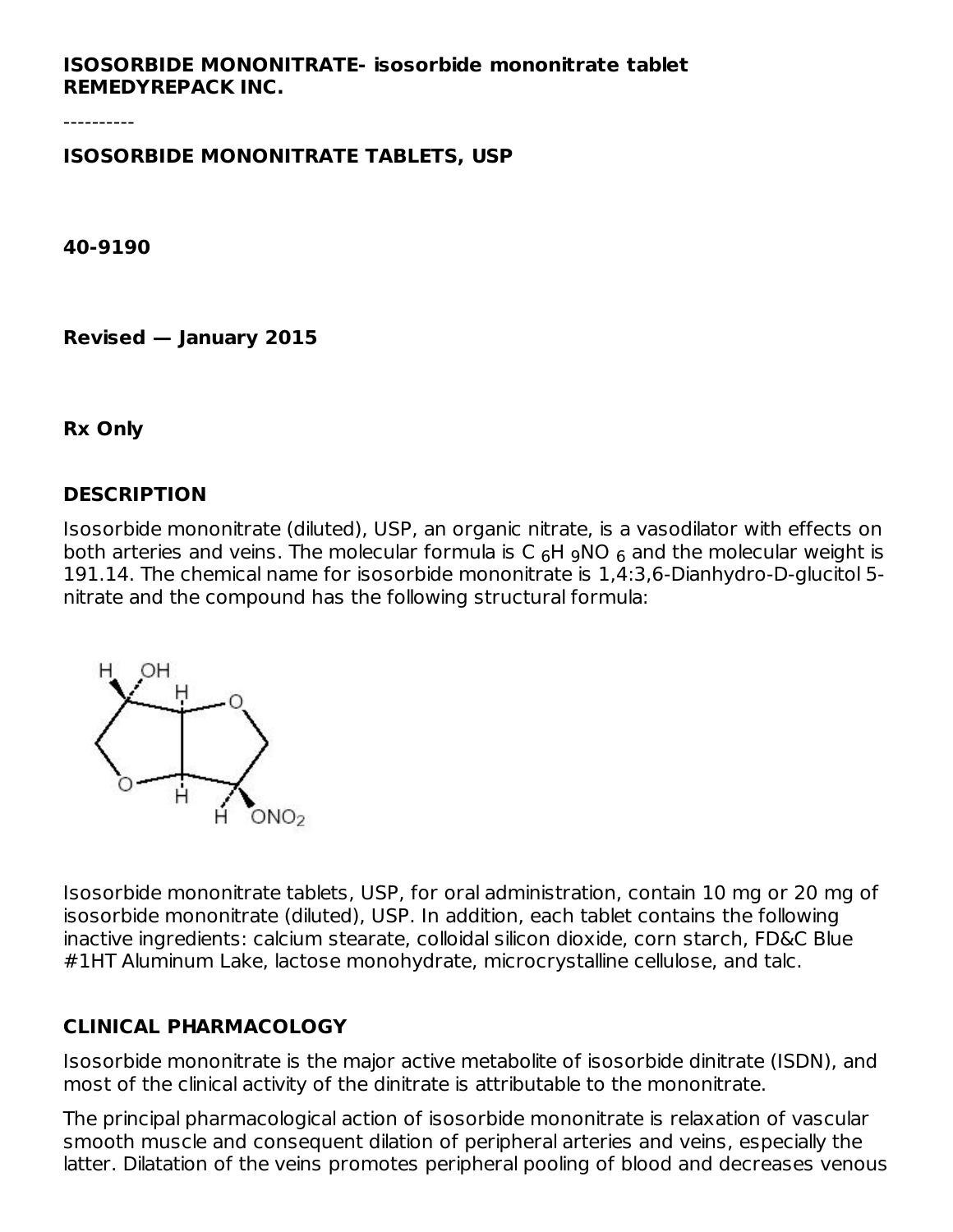**ISOSORBIDE MONONITRATE- isosorbide mononitrate tablet REMEDYREPACK INC.**

#### **ISOSORBIDE MONONITRATE TABLETS, USP**

**40-9190**

**Revised — January 2015**

**Rx Only**

#### **DESCRIPTION**

Isosorbide mononitrate (diluted), USP, an organic nitrate, is a vasodilator with effects on both arteries and veins. The molecular formula is C  $_6$ H  $_9$ NO  $_6$  and the molecular weight is 191.14. The chemical name for isosorbide mononitrate is 1,4:3,6-Dianhydro-D-glucitol 5 nitrate and the compound has the following structural formula:



Isosorbide mononitrate tablets, USP, for oral administration, contain 10 mg or 20 mg of isosorbide mononitrate (diluted), USP. In addition, each tablet contains the following inactive ingredients: calcium stearate, colloidal silicon dioxide, corn starch, FD&C Blue #1HT Aluminum Lake, lactose monohydrate, microcrystalline cellulose, and talc.

# **CLINICAL PHARMACOLOGY**

Isosorbide mononitrate is the major active metabolite of isosorbide dinitrate (ISDN), and most of the clinical activity of the dinitrate is attributable to the mononitrate.

The principal pharmacological action of isosorbide mononitrate is relaxation of vascular smooth muscle and consequent dilation of peripheral arteries and veins, especially the latter. Dilatation of the veins promotes peripheral pooling of blood and decreases venous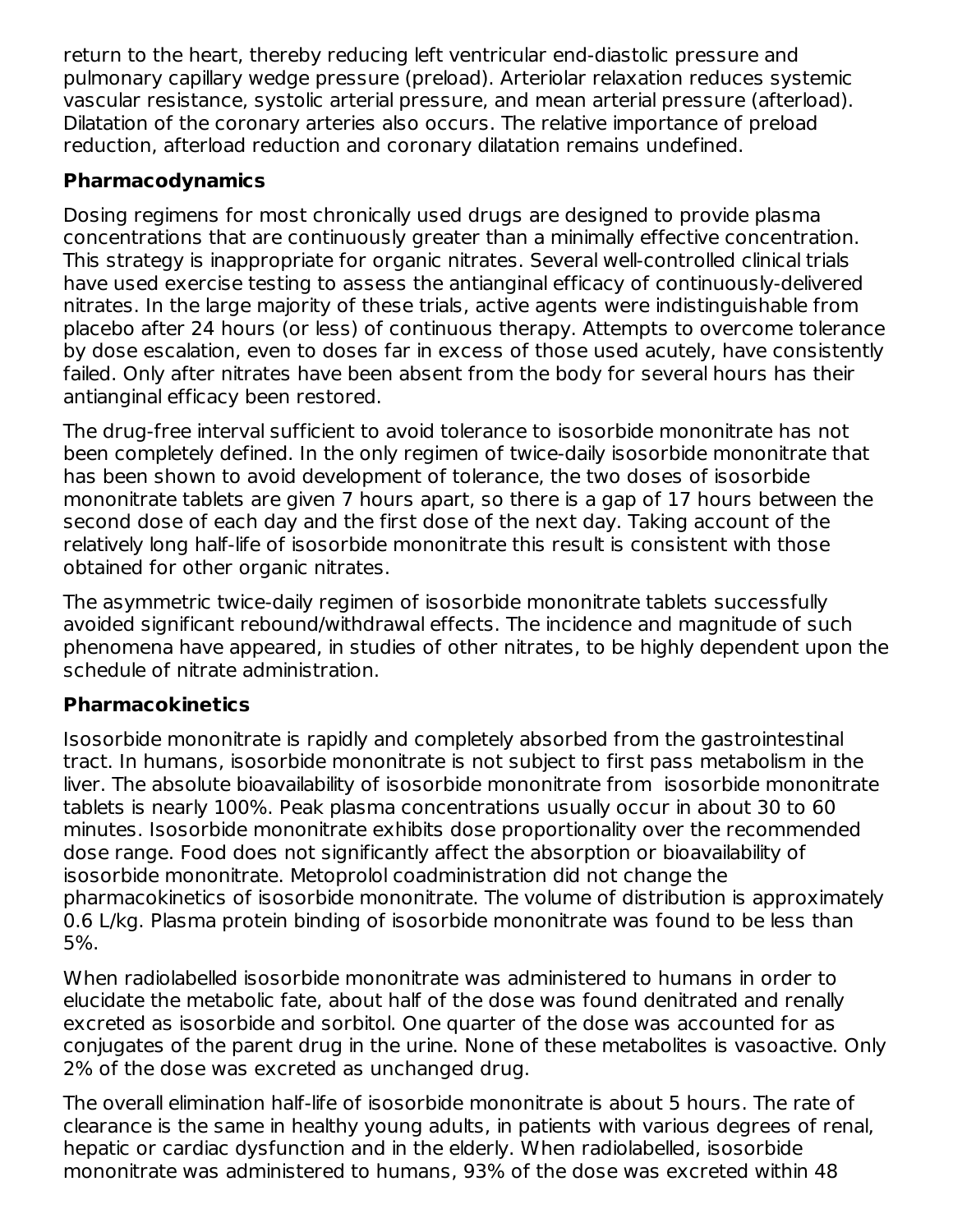return to the heart, thereby reducing left ventricular end-diastolic pressure and pulmonary capillary wedge pressure (preload). Arteriolar relaxation reduces systemic vascular resistance, systolic arterial pressure, and mean arterial pressure (afterload). Dilatation of the coronary arteries also occurs. The relative importance of preload reduction, afterload reduction and coronary dilatation remains undefined.

# **Pharmacodynamics**

Dosing regimens for most chronically used drugs are designed to provide plasma concentrations that are continuously greater than a minimally effective concentration. This strategy is inappropriate for organic nitrates. Several well-controlled clinical trials have used exercise testing to assess the antianginal efficacy of continuously-delivered nitrates. In the large majority of these trials, active agents were indistinguishable from placebo after 24 hours (or less) of continuous therapy. Attempts to overcome tolerance by dose escalation, even to doses far in excess of those used acutely, have consistently failed. Only after nitrates have been absent from the body for several hours has their antianginal efficacy been restored.

The drug-free interval sufficient to avoid tolerance to isosorbide mononitrate has not been completely defined. In the only regimen of twice-daily isosorbide mononitrate that has been shown to avoid development of tolerance, the two doses of isosorbide mononitrate tablets are given 7 hours apart, so there is a gap of 17 hours between the second dose of each day and the first dose of the next day. Taking account of the relatively long half-life of isosorbide mononitrate this result is consistent with those obtained for other organic nitrates.

The asymmetric twice-daily regimen of isosorbide mononitrate tablets successfully avoided significant rebound/withdrawal effects. The incidence and magnitude of such phenomena have appeared, in studies of other nitrates, to be highly dependent upon the schedule of nitrate administration.

# **Pharmacokinetics**

Isosorbide mononitrate is rapidly and completely absorbed from the gastrointestinal tract. In humans, isosorbide mononitrate is not subject to first pass metabolism in the liver. The absolute bioavailability of isosorbide mononitrate from isosorbide mononitrate tablets is nearly 100%. Peak plasma concentrations usually occur in about 30 to 60 minutes. Isosorbide mononitrate exhibits dose proportionality over the recommended dose range. Food does not significantly affect the absorption or bioavailability of isosorbide mononitrate. Metoprolol coadministration did not change the pharmacokinetics of isosorbide mononitrate. The volume of distribution is approximately 0.6 L/kg. Plasma protein binding of isosorbide mononitrate was found to be less than 5%.

When radiolabelled isosorbide mononitrate was administered to humans in order to elucidate the metabolic fate, about half of the dose was found denitrated and renally excreted as isosorbide and sorbitol. One quarter of the dose was accounted for as conjugates of the parent drug in the urine. None of these metabolites is vasoactive. Only 2% of the dose was excreted as unchanged drug.

The overall elimination half-life of isosorbide mononitrate is about 5 hours. The rate of clearance is the same in healthy young adults, in patients with various degrees of renal, hepatic or cardiac dysfunction and in the elderly. When radiolabelled, isosorbide mononitrate was administered to humans, 93% of the dose was excreted within 48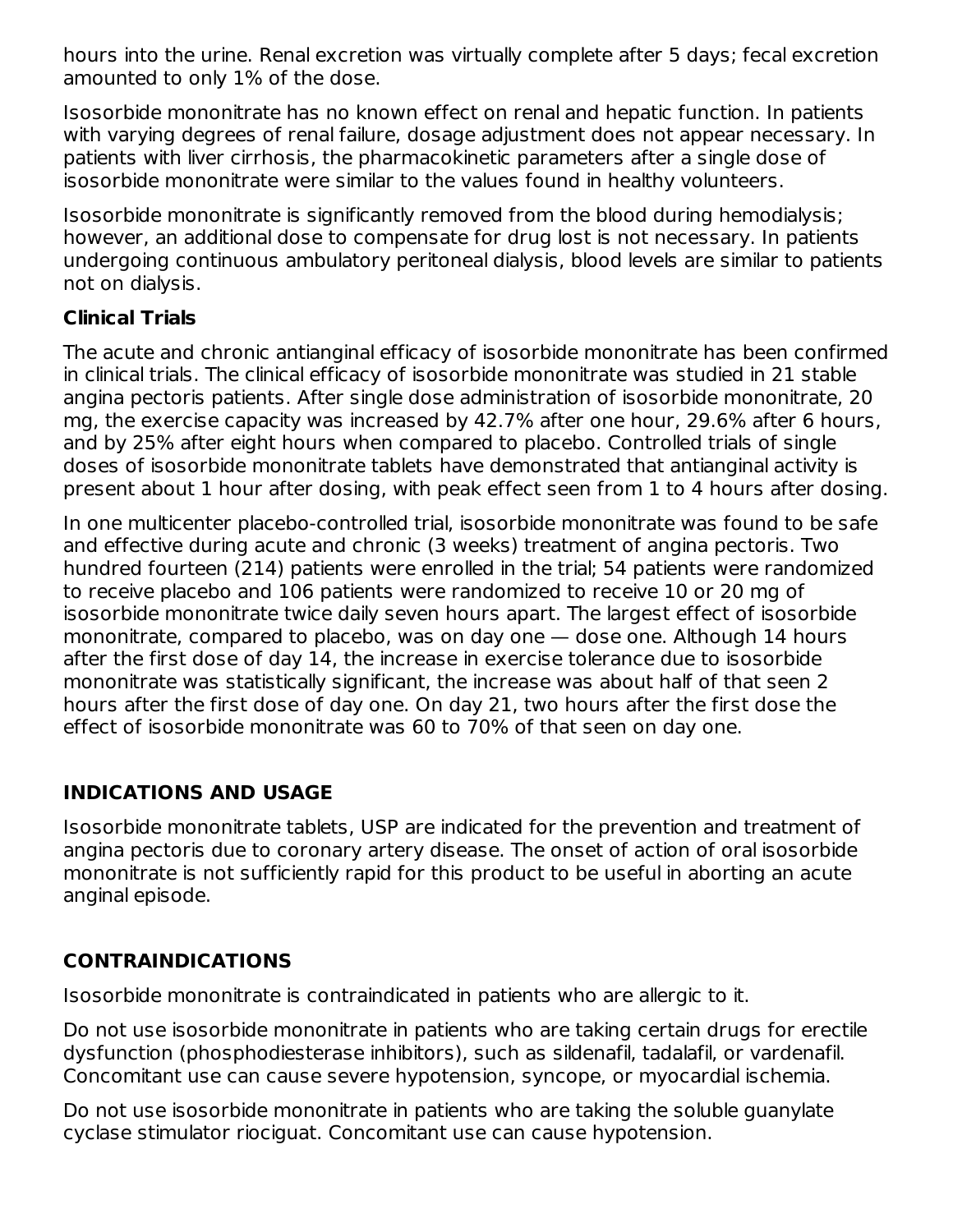hours into the urine. Renal excretion was virtually complete after 5 days; fecal excretion amounted to only 1% of the dose.

Isosorbide mononitrate has no known effect on renal and hepatic function. In patients with varying degrees of renal failure, dosage adjustment does not appear necessary. In patients with liver cirrhosis, the pharmacokinetic parameters after a single dose of isosorbide mononitrate were similar to the values found in healthy volunteers.

Isosorbide mononitrate is significantly removed from the blood during hemodialysis; however, an additional dose to compensate for drug lost is not necessary. In patients undergoing continuous ambulatory peritoneal dialysis, blood levels are similar to patients not on dialysis.

# **Clinical Trials**

The acute and chronic antianginal efficacy of isosorbide mononitrate has been confirmed in clinical trials. The clinical efficacy of isosorbide mononitrate was studied in 21 stable angina pectoris patients. After single dose administration of isosorbide mononitrate, 20 mg, the exercise capacity was increased by 42.7% after one hour, 29.6% after 6 hours, and by 25% after eight hours when compared to placebo. Controlled trials of single doses of isosorbide mononitrate tablets have demonstrated that antianginal activity is present about 1 hour after dosing, with peak effect seen from 1 to 4 hours after dosing.

In one multicenter placebo-controlled trial, isosorbide mononitrate was found to be safe and effective during acute and chronic (3 weeks) treatment of angina pectoris. Two hundred fourteen (214) patients were enrolled in the trial; 54 patients were randomized to receive placebo and 106 patients were randomized to receive 10 or 20 mg of isosorbide mononitrate twice daily seven hours apart. The largest effect of isosorbide mononitrate, compared to placebo, was on day one — dose one. Although 14 hours after the first dose of day 14, the increase in exercise tolerance due to isosorbide mononitrate was statistically significant, the increase was about half of that seen 2 hours after the first dose of day one. On day 21, two hours after the first dose the effect of isosorbide mononitrate was 60 to 70% of that seen on day one.

# **INDICATIONS AND USAGE**

Isosorbide mononitrate tablets, USP are indicated for the prevention and treatment of angina pectoris due to coronary artery disease. The onset of action of oral isosorbide mononitrate is not sufficiently rapid for this product to be useful in aborting an acute anginal episode.

# **CONTRAINDICATIONS**

Isosorbide mononitrate is contraindicated in patients who are allergic to it.

Do not use isosorbide mononitrate in patients who are taking certain drugs for erectile dysfunction (phosphodiesterase inhibitors), such as sildenafil, tadalafil, or vardenafil. Concomitant use can cause severe hypotension, syncope, or myocardial ischemia.

Do not use isosorbide mononitrate in patients who are taking the soluble guanylate cyclase stimulator riociguat. Concomitant use can cause hypotension.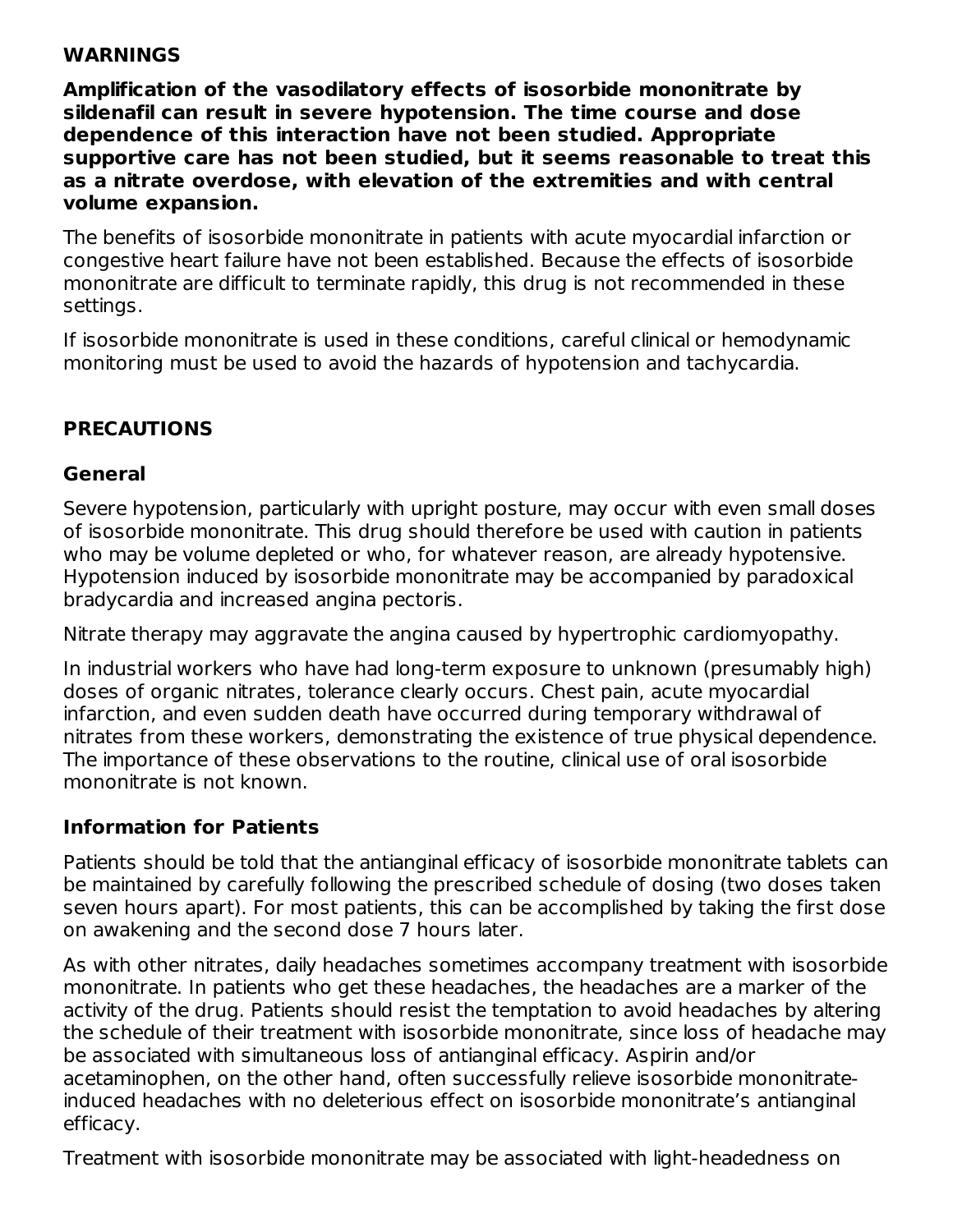#### **WARNINGS**

**Amplification of the vasodilatory effects of isosorbide mononitrate by sildenafil can result in severe hypotension. The time course and dose dependence of this interaction have not been studied. Appropriate supportive care has not been studied, but it seems reasonable to treat this as a nitrate overdose, with elevation of the extremities and with central volume expansion.**

The benefits of isosorbide mononitrate in patients with acute myocardial infarction or congestive heart failure have not been established. Because the effects of isosorbide mononitrate are difficult to terminate rapidly, this drug is not recommended in these settings.

If isosorbide mononitrate is used in these conditions, careful clinical or hemodynamic monitoring must be used to avoid the hazards of hypotension and tachycardia.

### **PRECAUTIONS**

#### **General**

Severe hypotension, particularly with upright posture, may occur with even small doses of isosorbide mononitrate. This drug should therefore be used with caution in patients who may be volume depleted or who, for whatever reason, are already hypotensive. Hypotension induced by isosorbide mononitrate may be accompanied by paradoxical bradycardia and increased angina pectoris.

Nitrate therapy may aggravate the angina caused by hypertrophic cardiomyopathy.

In industrial workers who have had long-term exposure to unknown (presumably high) doses of organic nitrates, tolerance clearly occurs. Chest pain, acute myocardial infarction, and even sudden death have occurred during temporary withdrawal of nitrates from these workers, demonstrating the existence of true physical dependence. The importance of these observations to the routine, clinical use of oral isosorbide mononitrate is not known.

### **Information for Patients**

Patients should be told that the antianginal efficacy of isosorbide mononitrate tablets can be maintained by carefully following the prescribed schedule of dosing (two doses taken seven hours apart). For most patients, this can be accomplished by taking the first dose on awakening and the second dose 7 hours later.

As with other nitrates, daily headaches sometimes accompany treatment with isosorbide mononitrate. In patients who get these headaches, the headaches are a marker of the activity of the drug. Patients should resist the temptation to avoid headaches by altering the schedule of their treatment with isosorbide mononitrate, since loss of headache may be associated with simultaneous loss of antianginal efficacy. Aspirin and/or acetaminophen, on the other hand, often successfully relieve isosorbide mononitrateinduced headaches with no deleterious effect on isosorbide mononitrate's antianginal efficacy.

Treatment with isosorbide mononitrate may be associated with light-headedness on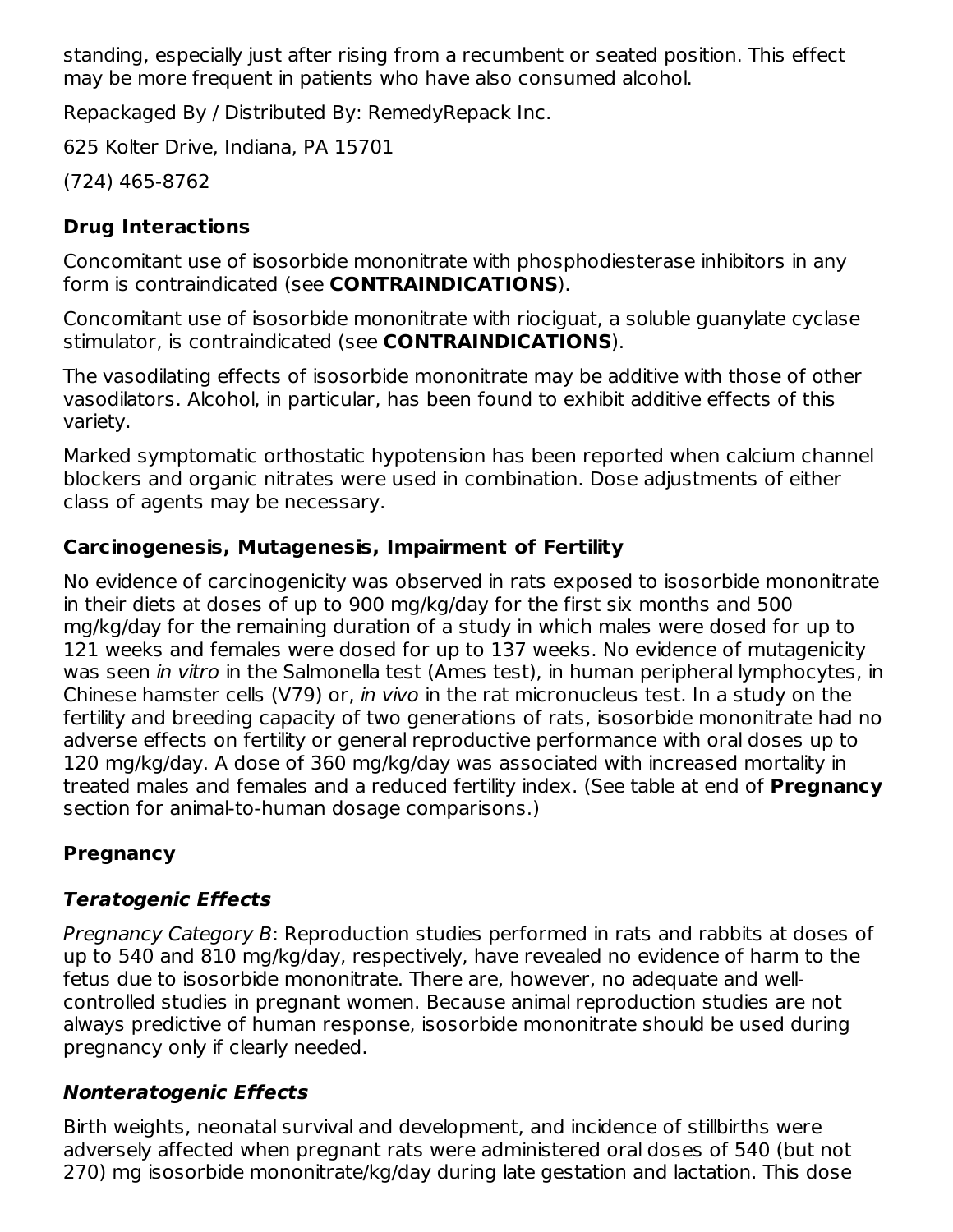standing, especially just after rising from a recumbent or seated position. This effect may be more frequent in patients who have also consumed alcohol.

Repackaged By / Distributed By: RemedyRepack Inc.

625 Kolter Drive, Indiana, PA 15701

(724) 465-8762

# **Drug Interactions**

Concomitant use of isosorbide mononitrate with phosphodiesterase inhibitors in any form is contraindicated (see **CONTRAINDICATIONS**).

Concomitant use of isosorbide mononitrate with riociguat, a soluble guanylate cyclase stimulator, is contraindicated (see **CONTRAINDICATIONS**).

The vasodilating effects of isosorbide mononitrate may be additive with those of other vasodilators. Alcohol, in particular, has been found to exhibit additive effects of this variety.

Marked symptomatic orthostatic hypotension has been reported when calcium channel blockers and organic nitrates were used in combination. Dose adjustments of either class of agents may be necessary.

# **Carcinogenesis, Mutagenesis, Impairment of Fertility**

No evidence of carcinogenicity was observed in rats exposed to isosorbide mononitrate in their diets at doses of up to 900 mg/kg/day for the first six months and 500 mg/kg/day for the remaining duration of a study in which males were dosed for up to 121 weeks and females were dosed for up to 137 weeks. No evidence of mutagenicity was seen *in vitro* in the Salmonella test (Ames test), in human peripheral lymphocytes, in Chinese hamster cells (V79) or, in vivo in the rat micronucleus test. In a study on the fertility and breeding capacity of two generations of rats, isosorbide mononitrate had no adverse effects on fertility or general reproductive performance with oral doses up to 120 mg/kg/day. A dose of 360 mg/kg/day was associated with increased mortality in treated males and females and a reduced fertility index. (See table at end of **Pregnancy** section for animal-to-human dosage comparisons.)

# **Pregnancy**

# **Teratogenic Effects**

Pregnancy Category B: Reproduction studies performed in rats and rabbits at doses of up to 540 and 810 mg/kg/day, respectively, have revealed no evidence of harm to the fetus due to isosorbide mononitrate. There are, however, no adequate and wellcontrolled studies in pregnant women. Because animal reproduction studies are not always predictive of human response, isosorbide mononitrate should be used during pregnancy only if clearly needed.

# **Nonteratogenic Effects**

Birth weights, neonatal survival and development, and incidence of stillbirths were adversely affected when pregnant rats were administered oral doses of 540 (but not 270) mg isosorbide mononitrate/kg/day during late gestation and lactation. This dose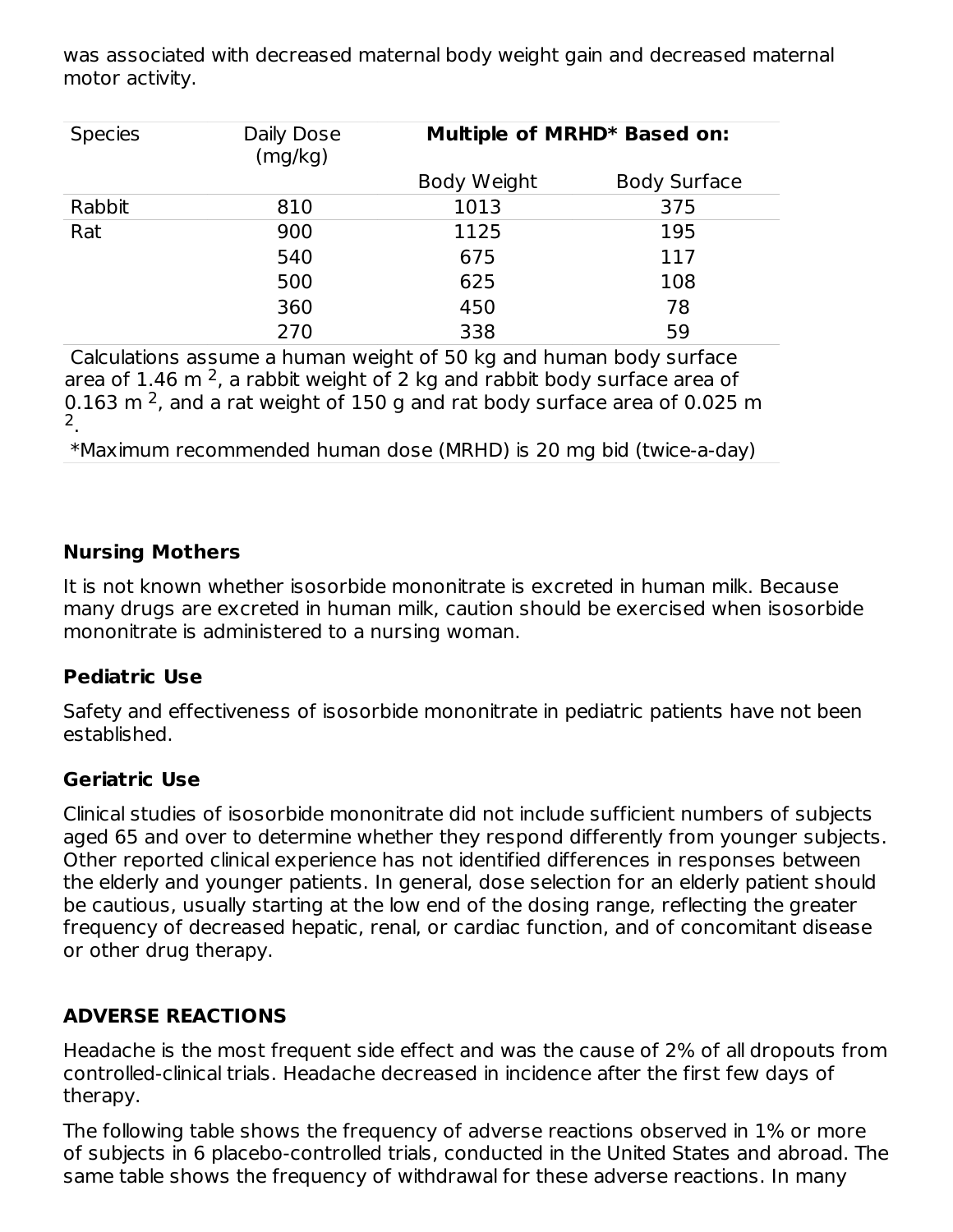was associated with decreased maternal body weight gain and decreased maternal motor activity.

| <b>Species</b> | Daily Dose<br>(mg/kg) | Multiple of MRHD* Based on: |                     |
|----------------|-----------------------|-----------------------------|---------------------|
|                |                       | Body Weight                 | <b>Body Surface</b> |
| Rabbit         | 810                   | 1013                        | 375                 |
| Rat            | 900                   | 1125                        | 195                 |
|                | 540                   | 675                         | 117                 |
|                | 500                   | 625                         | 108                 |
|                | 360                   | 450                         | 78                  |
|                | 270                   | 338                         | 59                  |

Calculations assume a human weight of 50 kg and human body surface area of 1.46 m  $^2$ , a rabbit weight of 2 kg and rabbit body surface area of 0.163 m  $^2$ , and a rat weight of 150 g and rat body surface area of 0.025 m . 2

\*Maximum recommended human dose (MRHD) is 20 mg bid (twice-a-day)

#### **Nursing Mothers**

It is not known whether isosorbide mononitrate is excreted in human milk. Because many drugs are excreted in human milk, caution should be exercised when isosorbide mononitrate is administered to a nursing woman.

### **Pediatric Use**

Safety and effectiveness of isosorbide mononitrate in pediatric patients have not been established.

### **Geriatric Use**

Clinical studies of isosorbide mononitrate did not include sufficient numbers of subjects aged 65 and over to determine whether they respond differently from younger subjects. Other reported clinical experience has not identified differences in responses between the elderly and younger patients. In general, dose selection for an elderly patient should be cautious, usually starting at the low end of the dosing range, reflecting the greater frequency of decreased hepatic, renal, or cardiac function, and of concomitant disease or other drug therapy.

# **ADVERSE REACTIONS**

Headache is the most frequent side effect and was the cause of 2% of all dropouts from controlled-clinical trials. Headache decreased in incidence after the first few days of therapy.

The following table shows the frequency of adverse reactions observed in 1% or more of subjects in 6 placebo-controlled trials, conducted in the United States and abroad. The same table shows the frequency of withdrawal for these adverse reactions. In many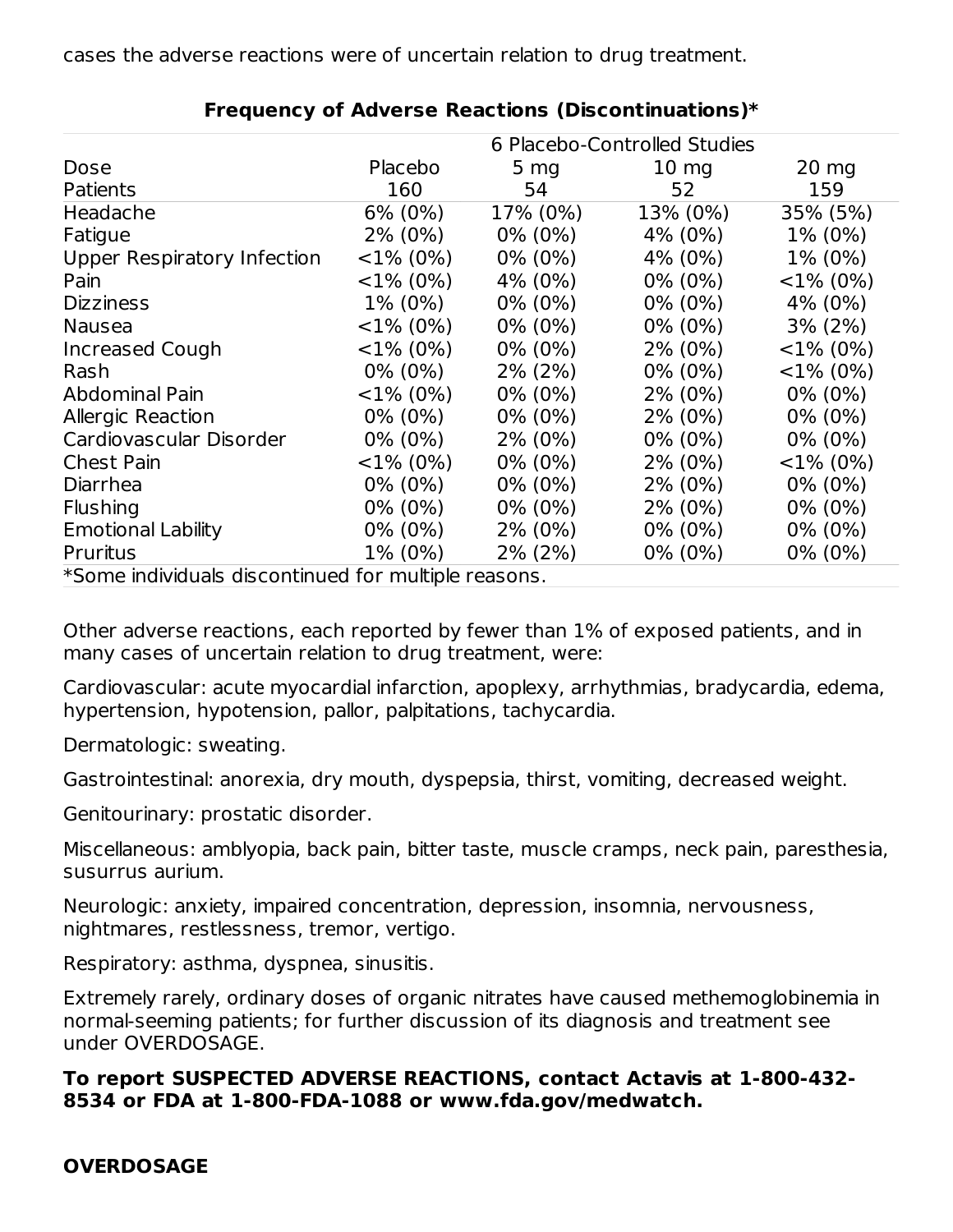cases the adverse reactions were of uncertain relation to drug treatment.

|                                                      | 6 Placebo-Controlled Studies |                 |                  |             |  |
|------------------------------------------------------|------------------------------|-----------------|------------------|-------------|--|
| Dose                                                 | Placebo                      | 5 <sub>mg</sub> | 10 <sub>mg</sub> | $20 \, mg$  |  |
| <b>Patients</b>                                      | 160                          | 54              | 52               | 159         |  |
| Headache                                             | 6% (0%)                      | 17% (0%)        | 13% (0%)         | 35% (5%)    |  |
| Fatigue                                              | 2% (0%)                      | $0\%$ (0%)      | 4% (0%)          | 1% (0%)     |  |
| Upper Respiratory Infection                          | $<$ 1% (0%)                  | $0\%$ (0%)      | 4% (0%)          | 1% (0%)     |  |
| Pain                                                 | $<$ 1% (0%)                  | 4% (0%)         | $0\%$ (0%)       | $<$ 1% (0%) |  |
| <b>Dizziness</b>                                     | 1% (0%)                      | $0\%$ (0%)      | $0\%$ (0%)       | 4% (0%)     |  |
| <b>Nausea</b>                                        | $<$ 1% (0%)                  | $0\%$ (0%)      | $0\%$ (0%)       | $3\%$ (2%)  |  |
| <b>Increased Cough</b>                               | $<$ 1% (0%)                  | $0\%$ (0%)      | $2\%$ (0%)       | $<$ 1% (0%) |  |
| Rash                                                 | $0\%$ (0%)                   | $2\%$ (2%)      | $0\%$ (0%)       | $<$ 1% (0%) |  |
| Abdominal Pain                                       | $<$ 1% (0%)                  | $0\%$ (0%)      | $2\%$ (0%)       | $0\%$ (0%)  |  |
| Allergic Reaction                                    | $0\%$ (0%)                   | 0% (0%)         | $2\%$ (0%)       | $0\%$ (0%)  |  |
| Cardiovascular Disorder                              | $0\%$ (0%)                   | $2\%$ (0%)      | $0\%$ (0%)       | $0\%$ (0%)  |  |
| <b>Chest Pain</b>                                    | $<$ 1% (0%)                  | $0\%$ (0%)      | $2\%$ (0%)       | $<$ 1% (0%) |  |
| Diarrhea                                             | 0% (0%)                      | $0\%$ (0%)      | $2\%$ (0%)       | $0\%$ (0%)  |  |
| <b>Flushing</b>                                      | 0% (0%)                      | $0\%$ (0%)      | $2\%$ (0%)       | $0\%$ (0%)  |  |
| <b>Emotional Lability</b>                            | $0\%$ (0%)                   | $2\%$ (0%)      | $0\%$ (0%)       | $0\%$ (0%)  |  |
| Pruritus                                             | 1% (0%)                      | $2\%$ (2%)      | $0\%$ (0%)       | 0% (0%)     |  |
| *Some individuals discontinued for multiple reasons. |                              |                 |                  |             |  |

### **Frequency of Adverse Reactions (Discontinuations)\***

Other adverse reactions, each reported by fewer than 1% of exposed patients, and in many cases of uncertain relation to drug treatment, were:

Cardiovascular: acute myocardial infarction, apoplexy, arrhythmias, bradycardia, edema, hypertension, hypotension, pallor, palpitations, tachycardia.

Dermatologic: sweating.

Gastrointestinal: anorexia, dry mouth, dyspepsia, thirst, vomiting, decreased weight.

Genitourinary: prostatic disorder.

Miscellaneous: amblyopia, back pain, bitter taste, muscle cramps, neck pain, paresthesia, susurrus aurium.

Neurologic: anxiety, impaired concentration, depression, insomnia, nervousness, nightmares, restlessness, tremor, vertigo.

Respiratory: asthma, dyspnea, sinusitis.

Extremely rarely, ordinary doses of organic nitrates have caused methemoglobinemia in normal-seeming patients; for further discussion of its diagnosis and treatment see under OVERDOSAGE.

### **To report SUSPECTED ADVERSE REACTIONS, contact Actavis at 1-800-432- 8534 or FDA at 1-800-FDA-1088 or www.fda.gov/medwatch.**

### **OVERDOSAGE**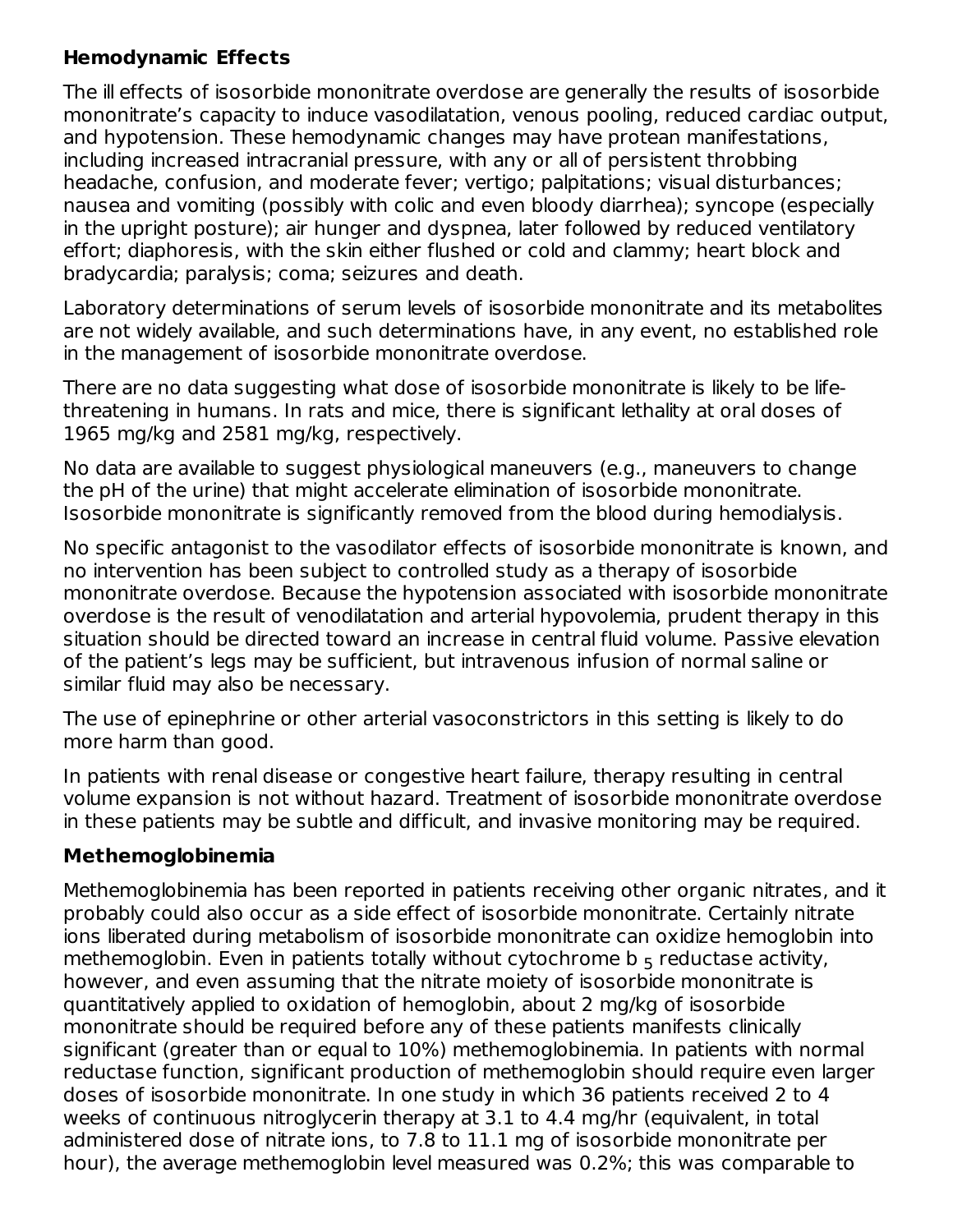### **Hemodynamic Effects**

The ill effects of isosorbide mononitrate overdose are generally the results of isosorbide mononitrate's capacity to induce vasodilatation, venous pooling, reduced cardiac output, and hypotension. These hemodynamic changes may have protean manifestations, including increased intracranial pressure, with any or all of persistent throbbing headache, confusion, and moderate fever; vertigo; palpitations; visual disturbances; nausea and vomiting (possibly with colic and even bloody diarrhea); syncope (especially in the upright posture); air hunger and dyspnea, later followed by reduced ventilatory effort; diaphoresis, with the skin either flushed or cold and clammy; heart block and bradycardia; paralysis; coma; seizures and death.

Laboratory determinations of serum levels of isosorbide mononitrate and its metabolites are not widely available, and such determinations have, in any event, no established role in the management of isosorbide mononitrate overdose.

There are no data suggesting what dose of isosorbide mononitrate is likely to be lifethreatening in humans. In rats and mice, there is significant lethality at oral doses of 1965 mg/kg and 2581 mg/kg, respectively.

No data are available to suggest physiological maneuvers (e.g., maneuvers to change the pH of the urine) that might accelerate elimination of isosorbide mononitrate. Isosorbide mononitrate is significantly removed from the blood during hemodialysis.

No specific antagonist to the vasodilator effects of isosorbide mononitrate is known, and no intervention has been subject to controlled study as a therapy of isosorbide mononitrate overdose. Because the hypotension associated with isosorbide mononitrate overdose is the result of venodilatation and arterial hypovolemia, prudent therapy in this situation should be directed toward an increase in central fluid volume. Passive elevation of the patient's legs may be sufficient, but intravenous infusion of normal saline or similar fluid may also be necessary.

The use of epinephrine or other arterial vasoconstrictors in this setting is likely to do more harm than good.

In patients with renal disease or congestive heart failure, therapy resulting in central volume expansion is not without hazard. Treatment of isosorbide mononitrate overdose in these patients may be subtle and difficult, and invasive monitoring may be required.

### **Methemoglobinemia**

Methemoglobinemia has been reported in patients receiving other organic nitrates, and it probably could also occur as a side effect of isosorbide mononitrate. Certainly nitrate ions liberated during metabolism of isosorbide mononitrate can oxidize hemoglobin into methemoglobin. Even in patients totally without cytochrome  $\mathsf b_5$  reductase activity, however, and even assuming that the nitrate moiety of isosorbide mononitrate is quantitatively applied to oxidation of hemoglobin, about 2 mg/kg of isosorbide mononitrate should be required before any of these patients manifests clinically significant (greater than or equal to 10%) methemoglobinemia. In patients with normal reductase function, significant production of methemoglobin should require even larger doses of isosorbide mononitrate. In one study in which 36 patients received 2 to 4 weeks of continuous nitroglycerin therapy at 3.1 to 4.4 mg/hr (equivalent, in total administered dose of nitrate ions, to 7.8 to 11.1 mg of isosorbide mononitrate per hour), the average methemoglobin level measured was 0.2%; this was comparable to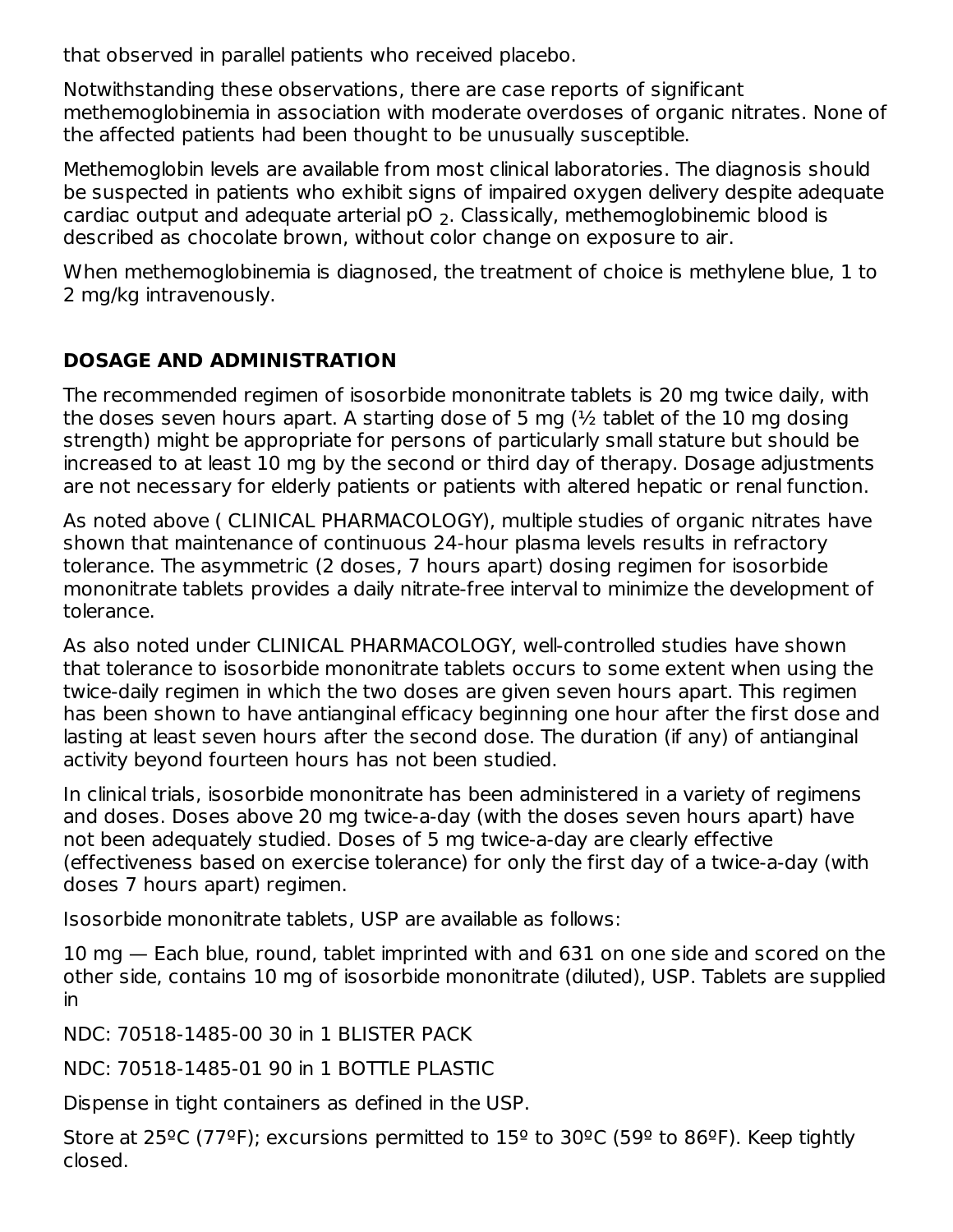that observed in parallel patients who received placebo.

Notwithstanding these observations, there are case reports of significant methemoglobinemia in association with moderate overdoses of organic nitrates. None of the affected patients had been thought to be unusually susceptible.

Methemoglobin levels are available from most clinical laboratories. The diagnosis should be suspected in patients who exhibit signs of impaired oxygen delivery despite adequate cardiac output and adequate arterial pO  $_2$ . Classically, methemoglobinemic blood is described as chocolate brown, without color change on exposure to air.

When methemoglobinemia is diagnosed, the treatment of choice is methylene blue, 1 to 2 mg/kg intravenously.

# **DOSAGE AND ADMINISTRATION**

The recommended regimen of isosorbide mononitrate tablets is 20 mg twice daily, with the doses seven hours apart. A starting dose of 5 mg (½ tablet of the 10 mg dosing strength) might be appropriate for persons of particularly small stature but should be increased to at least 10 mg by the second or third day of therapy. Dosage adjustments are not necessary for elderly patients or patients with altered hepatic or renal function.

As noted above ( CLINICAL PHARMACOLOGY), multiple studies of organic nitrates have shown that maintenance of continuous 24-hour plasma levels results in refractory tolerance. The asymmetric (2 doses, 7 hours apart) dosing regimen for isosorbide mononitrate tablets provides a daily nitrate-free interval to minimize the development of tolerance.

As also noted under CLINICAL PHARMACOLOGY, well-controlled studies have shown that tolerance to isosorbide mononitrate tablets occurs to some extent when using the twice-daily regimen in which the two doses are given seven hours apart. This regimen has been shown to have antianginal efficacy beginning one hour after the first dose and lasting at least seven hours after the second dose. The duration (if any) of antianginal activity beyond fourteen hours has not been studied.

In clinical trials, isosorbide mononitrate has been administered in a variety of regimens and doses. Doses above 20 mg twice-a-day (with the doses seven hours apart) have not been adequately studied. Doses of 5 mg twice-a-day are clearly effective (effectiveness based on exercise tolerance) for only the first day of a twice-a-day (with doses 7 hours apart) regimen.

Isosorbide mononitrate tablets, USP are available as follows:

10 mg — Each blue, round, tablet imprinted with and 631 on one side and scored on the other side, contains 10 mg of isosorbide mononitrate (diluted), USP. Tablets are supplied in

NDC: 70518-1485-00 30 in 1 BLISTER PACK

NDC: 70518-1485-01 90 in 1 BOTTLE PLASTIC

Dispense in tight containers as defined in the USP.

Store at 25<sup>o</sup>C (77<sup>o</sup>F); excursions permitted to 15<sup>o</sup> to 30<sup>o</sup>C (59<sup>o</sup> to 86<sup>o</sup>F). Keep tightly closed.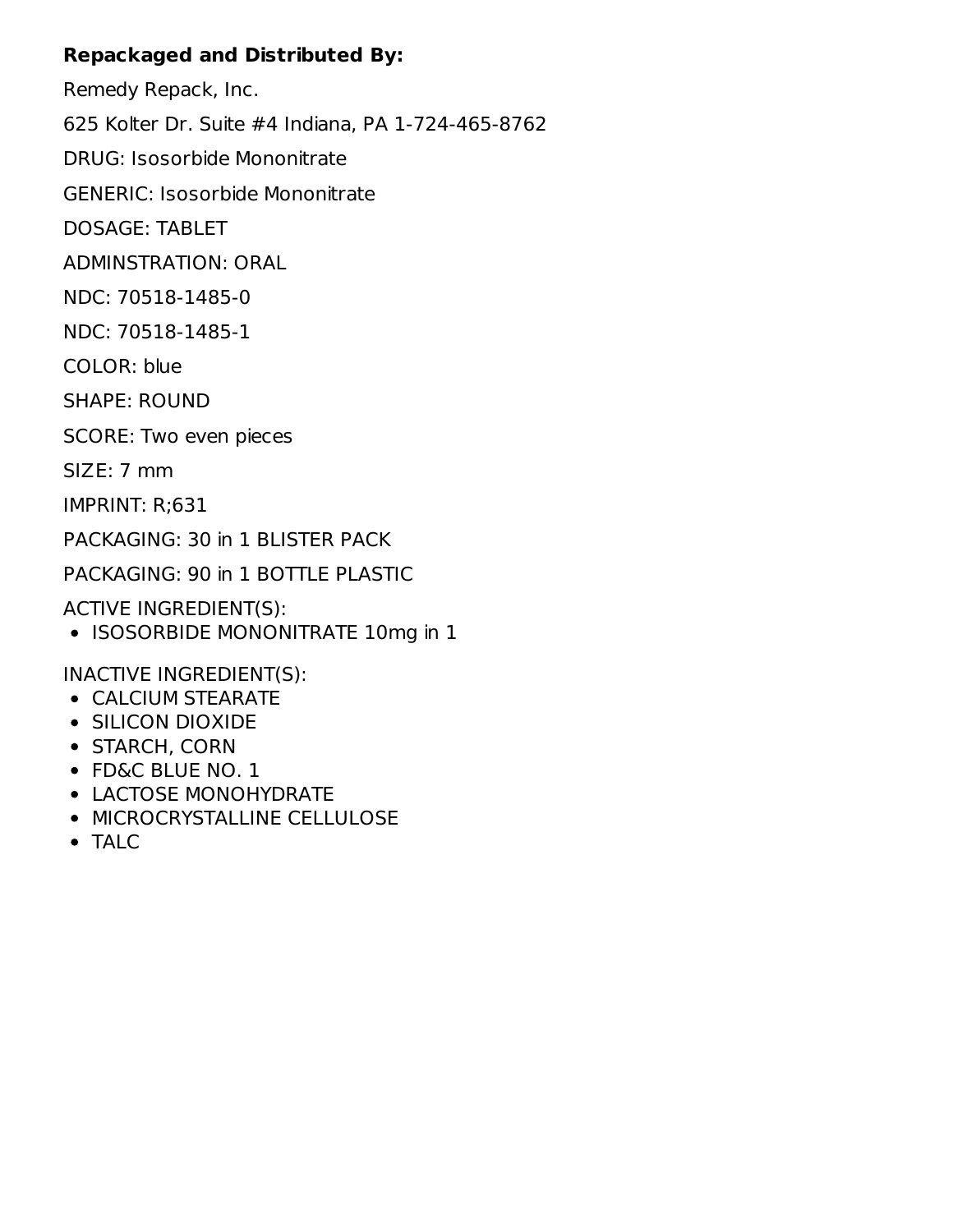# **Repackaged and Distributed By:**

Remedy Repack, Inc.

625 Kolter Dr. Suite #4 Indiana, PA 1-724-465-8762

DRUG: Isosorbide Mononitrate

GENERIC: Isosorbide Mononitrate

DOSAGE: TABLET

ADMINSTRATION: ORAL

NDC: 70518-1485-0

NDC: 70518-1485-1

COLOR: blue

SHAPE: ROUND

SCORE: Two even pieces

SIZE: 7 mm

IMPRINT: R;631

PACKAGING: 30 in 1 BLISTER PACK

PACKAGING: 90 in 1 BOTTLE PLASTIC

ACTIVE INGREDIENT(S):

• ISOSORBIDE MONONITRATE 10mg in 1

INACTIVE INGREDIENT(S):

- CALCIUM STEARATE
- SILICON DIOXIDE
- STARCH, CORN
- FD&C BLUE NO. 1
- LACTOSE MONOHYDRATE
- MICROCRYSTALLINE CELLULOSE
- TALC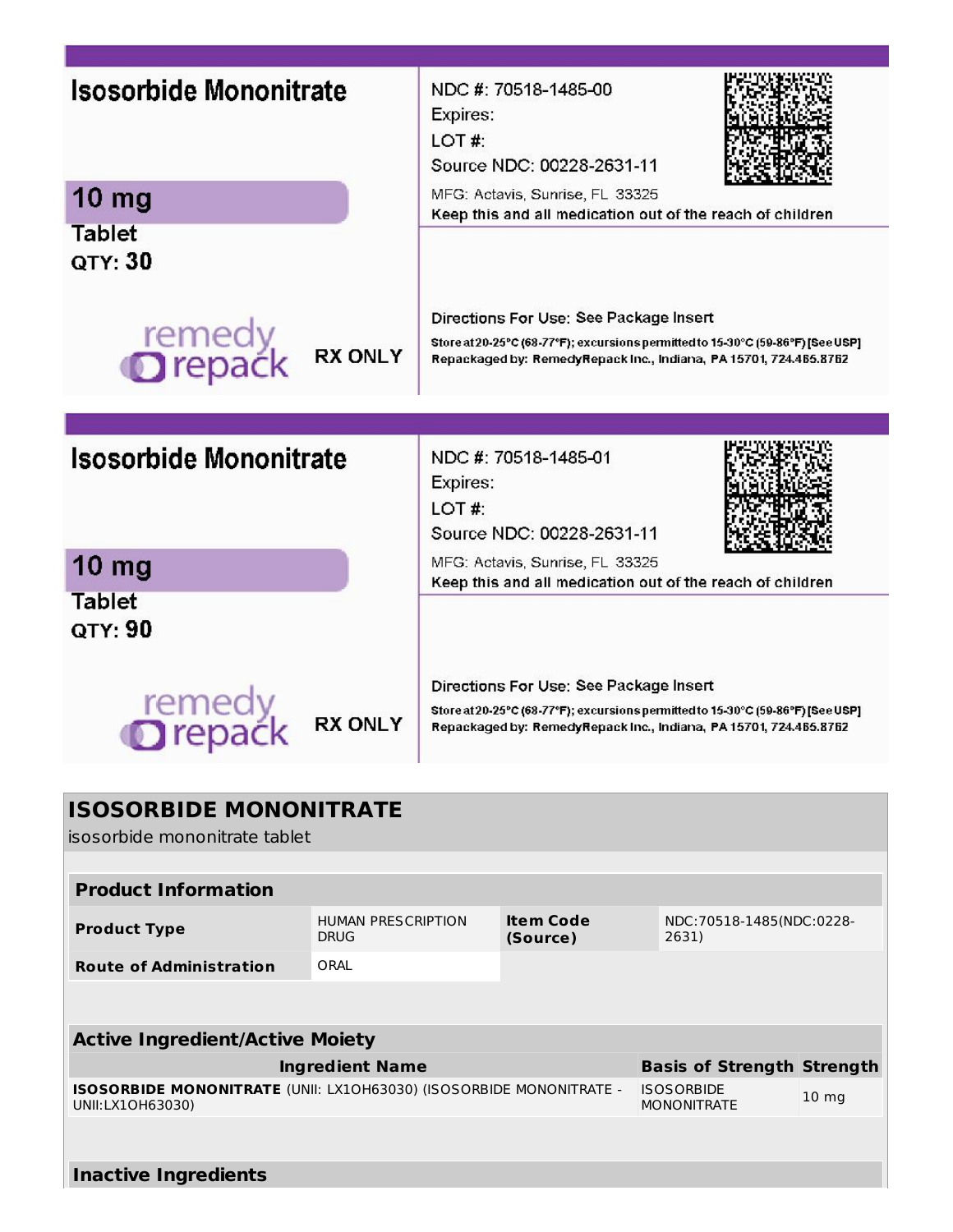| Isosorbide Mononitrate<br>10 <sub>mg</sub>                    | NDC #: 70518-1485-00<br>Expires:<br>LOT#:<br>Source NDC: 00228-2631-11<br>MFG: Actavis, Sunrise, FL 33325<br>Keep this and all medication out of the reach of children                          |  |  |
|---------------------------------------------------------------|-------------------------------------------------------------------------------------------------------------------------------------------------------------------------------------------------|--|--|
| <b>Tablet</b><br>QTY: 30<br>remedy<br><b>O</b> repack RX ONLY | Directions For Use: See Package Insert<br>Store at 20-25°C (68-77°F); excursions permitted to 15-30°C (59-86°F) [See USP].<br>Repackaged by: RemedyRepack Inc., Indiana, PA 15701, 724.465.8762 |  |  |
|                                                               |                                                                                                                                                                                                 |  |  |
| <b>Isosorbide Mononitrate</b><br>10 <sub>mg</sub>             | NDC #: 70518-1485-01<br>Expires:<br>LOT#:<br>Source NDC: 00228-2631-11<br>MFG: Actavis, Sunrise, FL 33325                                                                                       |  |  |
|                                                               | Keep this and all medication out of the reach of children                                                                                                                                       |  |  |
| <b>Tablet</b><br>QTY: 90                                      |                                                                                                                                                                                                 |  |  |
| remedy<br><b>Orepack</b><br><b>RX ONLY</b>                    | Directions For Use: See Package Insert<br>Store at 20-25°C (68-77°F); excursions permitted to 15-30°C (59-86°F) [See USP]<br>Repackaged by: RemedyRepack Inc., Indiana, PA 15701, 724.465.8762  |  |  |
|                                                               |                                                                                                                                                                                                 |  |  |
|                                                               |                                                                                                                                                                                                 |  |  |

isosorbide mononitrate tablet

| <b>Product Information</b>                                                                     |                                          |                              |                                         |                 |  |
|------------------------------------------------------------------------------------------------|------------------------------------------|------------------------------|-----------------------------------------|-----------------|--|
| <b>Product Type</b>                                                                            | <b>HUMAN PRESCRIPTION</b><br><b>DRUG</b> | <b>Item Code</b><br>(Source) | NDC:70518-1485(NDC:0228-<br>2631)       |                 |  |
| <b>Route of Administration</b>                                                                 | ORAL                                     |                              |                                         |                 |  |
|                                                                                                |                                          |                              |                                         |                 |  |
|                                                                                                |                                          |                              |                                         |                 |  |
| <b>Active Ingredient/Active Moiety</b>                                                         |                                          |                              |                                         |                 |  |
| <b>Ingredient Name</b>                                                                         |                                          |                              | <b>Basis of Strength Strength</b>       |                 |  |
| <b>ISOSORBIDE MONONITRATE</b> (UNII: LX10H63030) (ISOSORBIDE MONONITRATE -<br>UNII:LX1OH63030) |                                          |                              | <b>ISOSORBIDE</b><br><b>MONONITRATE</b> | $10 \text{ mg}$ |  |
|                                                                                                |                                          |                              |                                         |                 |  |
| <b>Inactive Ingredients</b>                                                                    |                                          |                              |                                         |                 |  |